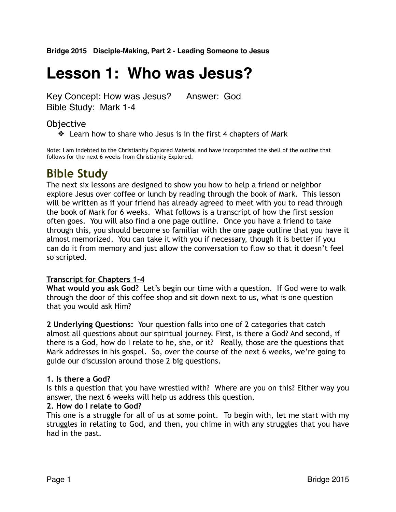**Bridge 2015 Disciple-Making, Part 2 - Leading Someone to Jesus**

# **Lesson 1: Who was Jesus?**

Key Concept: How was Jesus? Answer: God Bible Study: Mark 1-4

### Objective

❖ Learn how to share who Jesus is in the first 4 chapters of Mark

Note: I am indebted to the Christianity Explored Material and have incorporated the shell of the outline that follows for the next 6 weeks from Christianity Explored.

## **Bible Study**

The next six lessons are designed to show you how to help a friend or neighbor explore Jesus over coffee or lunch by reading through the book of Mark. This lesson will be written as if your friend has already agreed to meet with you to read through the book of Mark for 6 weeks. What follows is a transcript of how the first session often goes. You will also find a one page outline. Once you have a friend to take through this, you should become so familiar with the one page outline that you have it almost memorized. You can take it with you if necessary, though it is better if you can do it from memory and just allow the conversation to flow so that it doesn't feel so scripted.

#### **Transcript for Chapters 1-4**

**What would you ask God?** Let's begin our time with a question. If God were to walk through the door of this coffee shop and sit down next to us, what is one question that you would ask Him?

**2 Underlying Questions:** Your question falls into one of 2 categories that catch almost all questions about our spiritual journey. First, is there a God? And second, if there is a God, how do I relate to he, she, or it? Really, those are the questions that Mark addresses in his gospel. So, over the course of the next 6 weeks, we're going to guide our discussion around those 2 big questions.

#### **1. Is there a God?**

Is this a question that you have wrestled with? Where are you on this? Either way you answer, the next 6 weeks will help us address this question.

#### **2. How do I relate to God?**

This one is a struggle for all of us at some point. To begin with, let me start with my struggles in relating to God, and then, you chime in with any struggles that you have had in the past.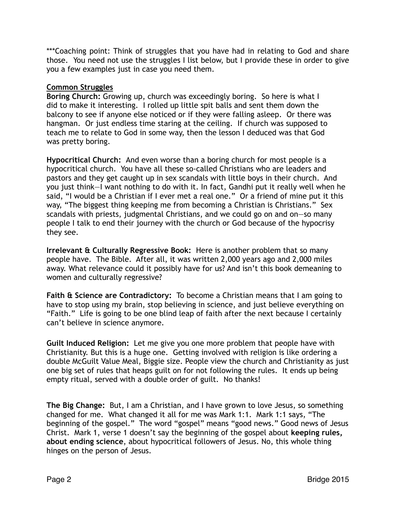\*\*\*Coaching point: Think of struggles that you have had in relating to God and share those. You need not use the struggles I list below, but I provide these in order to give you a few examples just in case you need them.

#### **Common Struggles**

**Boring Church:** Growing up, church was exceedingly boring. So here is what I did to make it interesting. I rolled up little spit balls and sent them down the balcony to see if anyone else noticed or if they were falling asleep. Or there was hangman. Or just endless time staring at the ceiling. If church was supposed to teach me to relate to God in some way, then the lesson I deduced was that God was pretty boring.

**Hypocritical Church:** And even worse than a boring church for most people is a hypocritical church. You have all these so-called Christians who are leaders and pastors and they get caught up in sex scandals with little boys in their church. And you just think—I want nothing to do with it. In fact, Gandhi put it really well when he said, "I would be a Christian if I ever met a real one." Or a friend of mine put it this way, "The biggest thing keeping me from becoming a Christian is Christians." Sex scandals with priests, judgmental Christians, and we could go on and on—so many people I talk to end their journey with the church or God because of the hypocrisy they see.

**Irrelevant & Culturally Regressive Book:** Here is another problem that so many people have. The Bible. After all, it was written 2,000 years ago and 2,000 miles away. What relevance could it possibly have for us? And isn't this book demeaning to women and culturally regressive?

**Faith & Science are Contradictory:** To become a Christian means that I am going to have to stop using my brain, stop believing in science, and just believe everything on "Faith." Life is going to be one blind leap of faith after the next because I certainly can't believe in science anymore.

**Guilt Induced Religion:** Let me give you one more problem that people have with Christianity. But this is a huge one. Getting involved with religion is like ordering a double McGuilt Value Meal, Biggie size. People view the church and Christianity as just one big set of rules that heaps guilt on for not following the rules. It ends up being empty ritual, served with a double order of guilt. No thanks!

**The Big Change:** But, I am a Christian, and I have grown to love Jesus, so something changed for me. What changed it all for me was Mark 1:1. Mark 1:1 says, "The beginning of the gospel." The word "gospel" means "good news." Good news of Jesus Christ. Mark 1, verse 1 doesn't say the beginning of the gospel about **keeping rules, about ending science**, about hypocritical followers of Jesus. No, this whole thing hinges on the person of Jesus.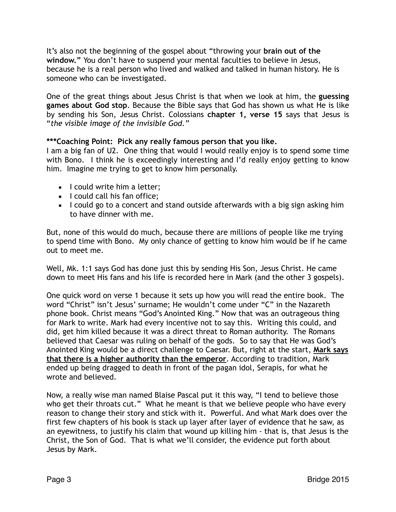It's also not the beginning of the gospel about "throwing your **brain out of the window."** You don't have to suspend your mental faculties to believe in Jesus, because he is a real person who lived and walked and talked in human history. He is someone who can be investigated.

One of the great things about Jesus Christ is that when we look at him, the **guessing games about God stop**. Because the Bible says that God has shown us what He is like by sending his Son, Jesus Christ. Colossians **chapter 1, verse 15** says that Jesus is "*the visible image of the invisible God."*

#### **\*\*\*Coaching Point: Pick any really famous person that you like.**

I am a big fan of U2. One thing that would I would really enjoy is to spend some time with Bono. I think he is exceedingly interesting and I'd really enjoy getting to know him. Imagine me trying to get to know him personally.

- $\blacksquare$  I could write him a letter;
- **E** I could call his fan office:
- **EXT** I could go to a concert and stand outside afterwards with a big sign asking him to have dinner with me.

But, none of this would do much, because there are millions of people like me trying to spend time with Bono. My only chance of getting to know him would be if he came out to meet me.

Well, Mk. 1:1 says God has done just this by sending His Son, Jesus Christ. He came down to meet His fans and his life is recorded here in Mark (and the other 3 gospels).

One quick word on verse 1 because it sets up how you will read the entire book. The word "Christ" isn't Jesus' surname; He wouldn't come under "C" in the Nazareth phone book. Christ means "God's Anointed King." Now that was an outrageous thing for Mark to write. Mark had every incentive not to say this. Writing this could, and did, get him killed because it was a direct threat to Roman authority. The Romans believed that Caesar was ruling on behalf of the gods. So to say that He was God's Anointed King would be a direct challenge to Caesar. But, right at the start, **Mark says that there is a higher authority than the emperor**. According to tradition, Mark ended up being dragged to death in front of the pagan idol, Serapis, for what he wrote and believed.

Now, a really wise man named Blaise Pascal put it this way, "I tend to believe those who get their throats cut." What he meant is that we believe people who have every reason to change their story and stick with it. Powerful. And what Mark does over the first few chapters of his book is stack up layer after layer of evidence that he saw, as an eyewitness, to justify his claim that wound up killing him - that is, that Jesus is the Christ, the Son of God. That is what we'll consider, the evidence put forth about Jesus by Mark.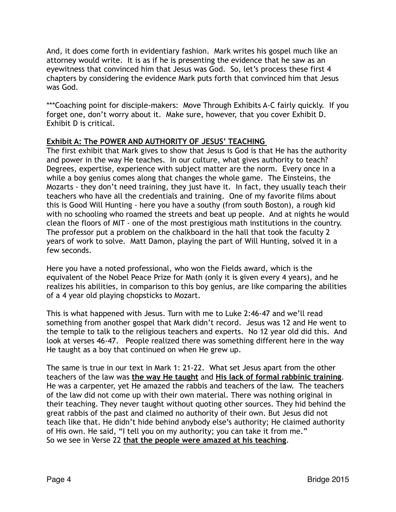And, it does come forth in evidentiary fashion. Mark writes his gospel much like an attorney would write. It is as if he is presenting the evidence that he saw as an eyewitness that convinced him that Jesus was God. So, let's process these first 4 chapters by considering the evidence Mark puts forth that convinced him that Jesus was God.

\*\*\*Coaching point for disciple-makers: Move Through Exhibits A-C fairly quickly. If you forget one, don't worry about it. Make sure, however, that you cover Exhibit D. Exhibit D is critical.

#### **Exhibit A: The POWER AND AUTHORITY OF JESUS' TEACHING**

The first exhibit that Mark gives to show that Jesus is God is that He has the authority and power in the way He teaches. In our culture, what gives authority to teach? Degrees, expertise, experience with subject matter are the norm. Every once in a while a boy genius comes along that changes the whole game. The Einsteins, the Mozarts - they don't need training, they just have it. In fact, they usually teach their teachers who have all the credentials and training. One of my favorite films about this is Good Will Hunting - here you have a southy (from south Boston), a rough kid with no schooling who roamed the streets and beat up people. And at nights he would clean the floors of MIT - one of the most prestigious math institutions in the country. The professor put a problem on the chalkboard in the hall that took the faculty 2 years of work to solve. Matt Damon, playing the part of Will Hunting, solved it in a few seconds.

Here you have a noted professional, who won the Fields award, which is the equivalent of the Nobel Peace Prize for Math (only it is given every 4 years), and he realizes his abilities, in comparison to this boy genius, are like comparing the abilities of a 4 year old playing chopsticks to Mozart.

This is what happened with Jesus. Turn with me to Luke 2:46-47 and we'll read something from another gospel that Mark didn't record. Jesus was 12 and He went to the temple to talk to the religious teachers and experts. No 12 year old did this. And look at verses 46-47. People realized there was something different here in the way He taught as a boy that continued on when He grew up.

The same is true in our text in Mark 1: 21-22. What set Jesus apart from the other teachers of the law was **the way He taught** and **His lack of formal rabbinic training**. He was a carpenter, yet He amazed the rabbis and teachers of the law. The teachers of the law did not come up with their own material. There was nothing original in their teaching. They never taught without quoting other sources. They hid behind the great rabbis of the past and claimed no authority of their own. But Jesus did not teach like that. He didn't hide behind anybody else's authority; He claimed authority of His own. He said, "I tell you on my authority; you can take it from me." So we see in Verse 22 **that the people were amazed at his teaching**.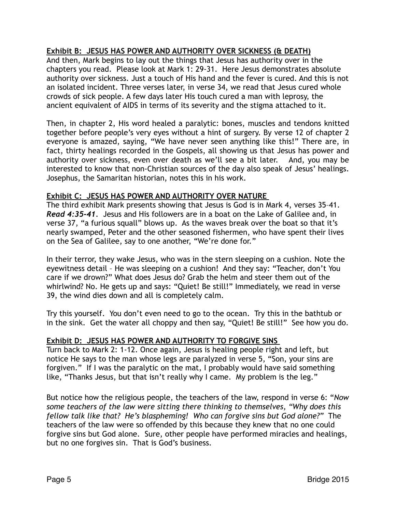#### **Exhibit B: JESUS HAS POWER AND AUTHORITY OVER SICKNESS (& DEATH)**

And then, Mark begins to lay out the things that Jesus has authority over in the chapters you read. Please look at Mark 1: 29-31. Here Jesus demonstrates absolute authority over sickness. Just a touch of His hand and the fever is cured. And this is not an isolated incident. Three verses later, in verse 34, we read that Jesus cured whole crowds of sick people. A few days later His touch cured a man with leprosy, the ancient equivalent of AIDS in terms of its severity and the stigma attached to it.

Then, in chapter 2, His word healed a paralytic: bones, muscles and tendons knitted together before people's very eyes without a hint of surgery. By verse 12 of chapter 2 everyone is amazed, saying, "We have never seen anything like this!" There are, in fact, thirty healings recorded in the Gospels, all showing us that Jesus has power and authority over sickness, even over death as we'll see a bit later. And, you may be interested to know that non-Christian sources of the day also speak of Jesus' healings. Josephus, the Samaritan historian, notes this in his work.

#### **Exhibit C: JESUS HAS POWER AND AUTHORITY OVER NATURE**

The third exhibit Mark presents showing that Jesus is God is in Mark 4, verses 35–41. *Read 4:35-41.* Jesus and His followers are in a boat on the Lake of Galilee and, in verse 37, "a furious squall" blows up. As the waves break over the boat so that it's nearly swamped, Peter and the other seasoned fishermen, who have spent their lives on the Sea of Galilee, say to one another, "We're done for."

In their terror, they wake Jesus, who was in the stern sleeping on a cushion. Note the eyewitness detail – He was sleeping on a cushion! And they say: "Teacher, don't You care if we drown?" What does Jesus do? Grab the helm and steer them out of the whirlwind? No. He gets up and says: "Quiet! Be still!" Immediately, we read in verse 39, the wind dies down and all is completely calm.

Try this yourself. You don't even need to go to the ocean. Try this in the bathtub or in the sink. Get the water all choppy and then say, "Quiet! Be still!" See how you do.

#### **Exhibit D: JESUS HAS POWER AND AUTHORITY TO FORGIVE SINS**

Turn back to Mark 2: 1-12. Once again, Jesus is healing people right and left, but notice He says to the man whose legs are paralyzed in verse 5, "Son, your sins are forgiven." If I was the paralytic on the mat, I probably would have said something like, "Thanks Jesus, but that isn't really why I came. My problem is the leg."

But notice how the religious people, the teachers of the law, respond in verse 6: "*Now some teachers of the law were sitting there thinking to themselves, "Why does this fellow talk like that? He's blaspheming! Who can forgive sins but God alone?"* The teachers of the law were so offended by this because they knew that no one could forgive sins but God alone. Sure, other people have performed miracles and healings, but no one forgives sin. That is God's business.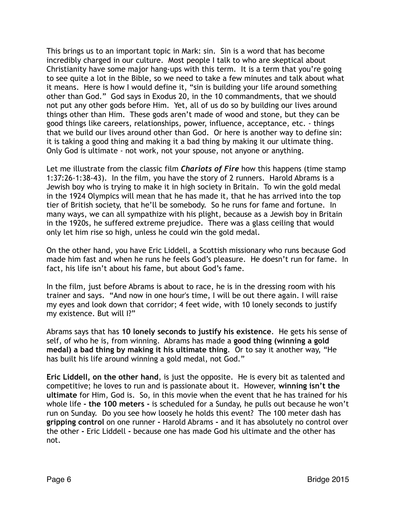This brings us to an important topic in Mark: sin. Sin is a word that has become incredibly charged in our culture. Most people I talk to who are skeptical about Christianity have some major hang-ups with this term. It is a term that you're going to see quite a lot in the Bible, so we need to take a few minutes and talk about what it means. Here is how I would define it, "sin is building your life around something other than God." God says in Exodus 20, in the 10 commandments, that we should not put any other gods before Him. Yet, all of us do so by building our lives around things other than Him. These gods aren't made of wood and stone, but they can be good things like careers, relationships, power, influence, acceptance, etc. - things that we build our lives around other than God. Or here is another way to define sin: it is taking a good thing and making it a bad thing by making it our ultimate thing. Only God is ultimate - not work, not your spouse, not anyone or anything.

Let me illustrate from the classic film *Chariots of Fire* how this happens (time stamp 1:37:26-1:38-43). In the film, you have the story of 2 runners. Harold Abrams is a Jewish boy who is trying to make it in high society in Britain. To win the gold medal in the 1924 Olympics will mean that he has made it, that he has arrived into the top tier of British society, that he'll be somebody. So he runs for fame and fortune. In many ways, we can all sympathize with his plight, because as a Jewish boy in Britain in the 1920s, he suffered extreme prejudice. There was a glass ceiling that would only let him rise so high, unless he could win the gold medal.

On the other hand, you have Eric Liddell, a Scottish missionary who runs because God made him fast and when he runs he feels God's pleasure. He doesn't run for fame. In fact, his life isn't about his fame, but about God's fame.

In the film, just before Abrams is about to race, he is in the dressing room with his trainer and says. "And now in one hour's time, I will be out there again. I will raise my eyes and look down that corridor; 4 feet wide, with 10 lonely seconds to justify my existence. But will I?"

Abrams says that has **10 lonely seconds to justify his existence**. He gets his sense of self, of who he is, from winning. Abrams has made a **good thing (winning a gold medal) a bad thing by making it his ultimate thing**. Or to say it another way, "He has built his life around winning a gold medal, not God."

**Eric Liddell, on the other hand**, is just the opposite. He is every bit as talented and competitive; he loves to run and is passionate about it. However, **winning isn't the ultimate** for Him, God is. So, in this movie when the event that he has trained for his whole life **- the 100 meters -** is scheduled for a Sunday, he pulls out because he won't run on Sunday. Do you see how loosely he holds this event? The 100 meter dash has **gripping control** on one runner **-** Harold Abrams **-** and it has absolutely no control over the other **-** Eric Liddell **-** because one has made God his ultimate and the other has not.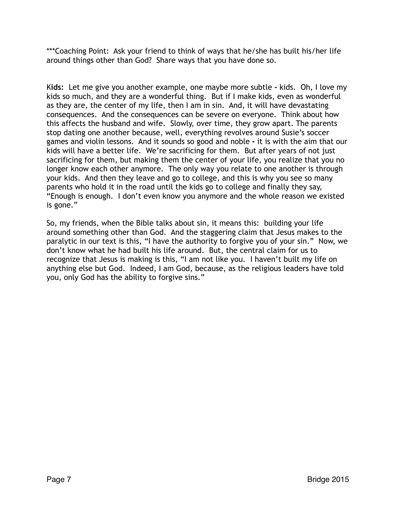\*\*\*Coaching Point: Ask your friend to think of ways that he/she has built his/her life around things other than God? Share ways that you have done so.

K**ids:** Let me give you another example, one maybe more subtle **-** kids. Oh, I love my kids so much, and they are a wonderful thing. But if I make kids, even as wonderful as they are, the center of my life, then I am in sin. And, it will have devastating consequences. And the consequences can be severe on everyone. Think about how this affects the husband and wife. Slowly, over time, they grow apart. The parents stop dating one another because, well, everything revolves around Susie's soccer games and violin lessons. And it sounds so good and noble **-** it is with the aim that our kids will have a better life. We're sacrificing for them. But after years of not just sacrificing for them, but making them the center of your life, you realize that you no longer know each other anymore. The only way you relate to one another is through your kids. And then they leave and go to college, and this is why you see so many parents who hold it in the road until the kids go to college and finally they say, "Enough is enough. I don't even know you anymore and the whole reason we existed is gone."

So, my friends, when the Bible talks about sin, it means this: building your life around something other than God. And the staggering claim that Jesus makes to the paralytic in our text is this, "I have the authority to forgive you of your sin." Now, we don't know what he had built his life around. But, the central claim for us to recognize that Jesus is making is this, "I am not like you. I haven't built my life on anything else but God. Indeed, I am God, because, as the religious leaders have told you, only God has the ability to forgive sins."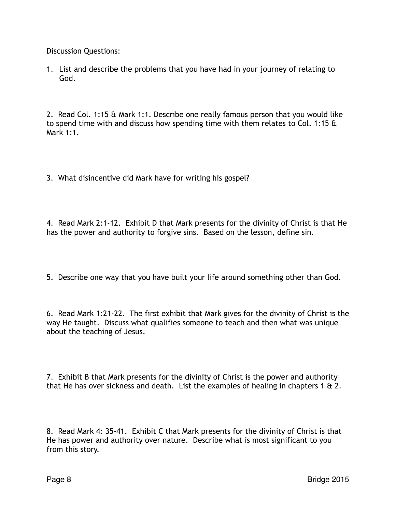Discussion Questions:

1. List and describe the problems that you have had in your journey of relating to God.

2. Read Col. 1:15 & Mark 1:1. Describe one really famous person that you would like to spend time with and discuss how spending time with them relates to Col. 1:15 & Mark 1:1.

3. What disincentive did Mark have for writing his gospel?

4. Read Mark 2:1-12. Exhibit D that Mark presents for the divinity of Christ is that He has the power and authority to forgive sins. Based on the lesson, define sin.

5. Describe one way that you have built your life around something other than God.

6. Read Mark 1:21-22. The first exhibit that Mark gives for the divinity of Christ is the way He taught. Discuss what qualifies someone to teach and then what was unique about the teaching of Jesus.

7. Exhibit B that Mark presents for the divinity of Christ is the power and authority that He has over sickness and death. List the examples of healing in chapters 1 & 2.

8. Read Mark 4: 35-41. Exhibit C that Mark presents for the divinity of Christ is that He has power and authority over nature. Describe what is most significant to you from this story.